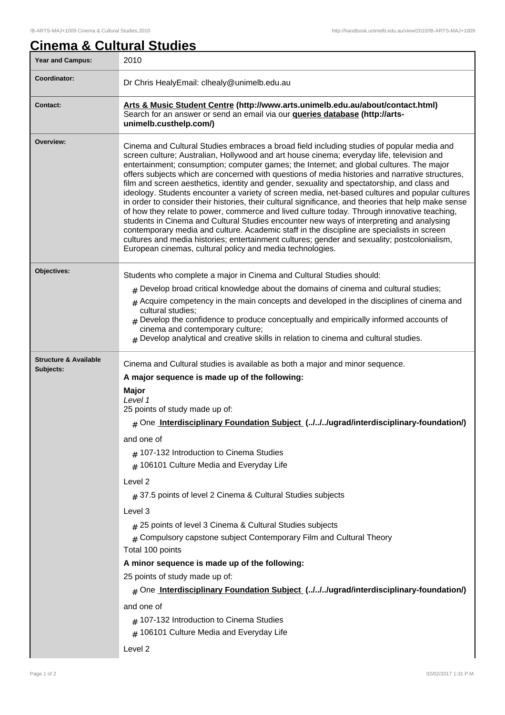## **Cinema & Cultural Studies**

| <b>Year and Campus:</b>                                                                  | 2010                                                                                                                                                                                                                                                                                                                                                                                                                                                                                                                                                                                                                                                                                                                                                                                                                                                                                                                                                                                                                                                                                                                                                  |  |  |
|------------------------------------------------------------------------------------------|-------------------------------------------------------------------------------------------------------------------------------------------------------------------------------------------------------------------------------------------------------------------------------------------------------------------------------------------------------------------------------------------------------------------------------------------------------------------------------------------------------------------------------------------------------------------------------------------------------------------------------------------------------------------------------------------------------------------------------------------------------------------------------------------------------------------------------------------------------------------------------------------------------------------------------------------------------------------------------------------------------------------------------------------------------------------------------------------------------------------------------------------------------|--|--|
| Coordinator:                                                                             | Dr Chris HealyEmail: clhealy@unimelb.edu.au                                                                                                                                                                                                                                                                                                                                                                                                                                                                                                                                                                                                                                                                                                                                                                                                                                                                                                                                                                                                                                                                                                           |  |  |
| <b>Contact:</b>                                                                          | Arts & Music Student Centre (http://www.arts.unimelb.edu.au/about/contact.html)<br>Search for an answer or send an email via our <b>queries database (http://arts-</b><br>unimelb.custhelp.com/)                                                                                                                                                                                                                                                                                                                                                                                                                                                                                                                                                                                                                                                                                                                                                                                                                                                                                                                                                      |  |  |
| Overview:                                                                                | Cinema and Cultural Studies embraces a broad field including studies of popular media and<br>screen culture; Australian, Hollywood and art house cinema; everyday life, television and<br>entertainment; consumption; computer games; the Internet; and global cultures. The major<br>offers subjects which are concerned with questions of media histories and narrative structures,<br>film and screen aesthetics, identity and gender, sexuality and spectatorship, and class and<br>ideology. Students encounter a variety of screen media, net-based cultures and popular cultures<br>in order to consider their histories, their cultural significance, and theories that help make sense<br>of how they relate to power, commerce and lived culture today. Through innovative teaching,<br>students in Cinema and Cultural Studies encounter new ways of interpreting and analysing<br>contemporary media and culture. Academic staff in the discipline are specialists in screen<br>cultures and media histories; entertainment cultures; gender and sexuality; postcolonialism,<br>European cinemas, cultural policy and media technologies. |  |  |
| Objectives:                                                                              | Students who complete a major in Cinema and Cultural Studies should:                                                                                                                                                                                                                                                                                                                                                                                                                                                                                                                                                                                                                                                                                                                                                                                                                                                                                                                                                                                                                                                                                  |  |  |
|                                                                                          | $#$ Develop broad critical knowledge about the domains of cinema and cultural studies;                                                                                                                                                                                                                                                                                                                                                                                                                                                                                                                                                                                                                                                                                                                                                                                                                                                                                                                                                                                                                                                                |  |  |
|                                                                                          | $#$ Acquire competency in the main concepts and developed in the disciplines of cinema and<br>cultural studies;<br>$_{\text{\#}}$ Develop the confidence to produce conceptually and empirically informed accounts of<br>cinema and contemporary culture;<br>$#$ Develop analytical and creative skills in relation to cinema and cultural studies.                                                                                                                                                                                                                                                                                                                                                                                                                                                                                                                                                                                                                                                                                                                                                                                                   |  |  |
| <b>Structure &amp; Available</b>                                                         |                                                                                                                                                                                                                                                                                                                                                                                                                                                                                                                                                                                                                                                                                                                                                                                                                                                                                                                                                                                                                                                                                                                                                       |  |  |
| Subjects:                                                                                | Cinema and Cultural studies is available as both a major and minor sequence.                                                                                                                                                                                                                                                                                                                                                                                                                                                                                                                                                                                                                                                                                                                                                                                                                                                                                                                                                                                                                                                                          |  |  |
|                                                                                          | A major sequence is made up of the following:                                                                                                                                                                                                                                                                                                                                                                                                                                                                                                                                                                                                                                                                                                                                                                                                                                                                                                                                                                                                                                                                                                         |  |  |
|                                                                                          | <b>Major</b><br>Level 1                                                                                                                                                                                                                                                                                                                                                                                                                                                                                                                                                                                                                                                                                                                                                                                                                                                                                                                                                                                                                                                                                                                               |  |  |
|                                                                                          | 25 points of study made up of:                                                                                                                                                                                                                                                                                                                                                                                                                                                                                                                                                                                                                                                                                                                                                                                                                                                                                                                                                                                                                                                                                                                        |  |  |
| # One Interdisciplinary Foundation Subject (.J.J.J.Jugrad/interdisciplinary-foundation/) |                                                                                                                                                                                                                                                                                                                                                                                                                                                                                                                                                                                                                                                                                                                                                                                                                                                                                                                                                                                                                                                                                                                                                       |  |  |
|                                                                                          | and one of                                                                                                                                                                                                                                                                                                                                                                                                                                                                                                                                                                                                                                                                                                                                                                                                                                                                                                                                                                                                                                                                                                                                            |  |  |
|                                                                                          | $#$ 107-132 Introduction to Cinema Studies                                                                                                                                                                                                                                                                                                                                                                                                                                                                                                                                                                                                                                                                                                                                                                                                                                                                                                                                                                                                                                                                                                            |  |  |
|                                                                                          | 106101 Culture Media and Everyday Life                                                                                                                                                                                                                                                                                                                                                                                                                                                                                                                                                                                                                                                                                                                                                                                                                                                                                                                                                                                                                                                                                                                |  |  |
|                                                                                          | Level 2                                                                                                                                                                                                                                                                                                                                                                                                                                                                                                                                                                                                                                                                                                                                                                                                                                                                                                                                                                                                                                                                                                                                               |  |  |
|                                                                                          | # 37.5 points of level 2 Cinema & Cultural Studies subjects                                                                                                                                                                                                                                                                                                                                                                                                                                                                                                                                                                                                                                                                                                                                                                                                                                                                                                                                                                                                                                                                                           |  |  |
|                                                                                          | Level 3                                                                                                                                                                                                                                                                                                                                                                                                                                                                                                                                                                                                                                                                                                                                                                                                                                                                                                                                                                                                                                                                                                                                               |  |  |
|                                                                                          | # 25 points of level 3 Cinema & Cultural Studies subjects                                                                                                                                                                                                                                                                                                                                                                                                                                                                                                                                                                                                                                                                                                                                                                                                                                                                                                                                                                                                                                                                                             |  |  |
|                                                                                          | $#$ Compulsory capstone subject Contemporary Film and Cultural Theory                                                                                                                                                                                                                                                                                                                                                                                                                                                                                                                                                                                                                                                                                                                                                                                                                                                                                                                                                                                                                                                                                 |  |  |
|                                                                                          | Total 100 points                                                                                                                                                                                                                                                                                                                                                                                                                                                                                                                                                                                                                                                                                                                                                                                                                                                                                                                                                                                                                                                                                                                                      |  |  |
|                                                                                          | A minor sequence is made up of the following:                                                                                                                                                                                                                                                                                                                                                                                                                                                                                                                                                                                                                                                                                                                                                                                                                                                                                                                                                                                                                                                                                                         |  |  |
|                                                                                          | 25 points of study made up of:                                                                                                                                                                                                                                                                                                                                                                                                                                                                                                                                                                                                                                                                                                                                                                                                                                                                                                                                                                                                                                                                                                                        |  |  |
|                                                                                          | # One Interdisciplinary Foundation Subject (.J.J.J.Jugrad/interdisciplinary-foundation/)                                                                                                                                                                                                                                                                                                                                                                                                                                                                                                                                                                                                                                                                                                                                                                                                                                                                                                                                                                                                                                                              |  |  |
| and one of                                                                               |                                                                                                                                                                                                                                                                                                                                                                                                                                                                                                                                                                                                                                                                                                                                                                                                                                                                                                                                                                                                                                                                                                                                                       |  |  |
|                                                                                          | $#$ 107-132 Introduction to Cinema Studies                                                                                                                                                                                                                                                                                                                                                                                                                                                                                                                                                                                                                                                                                                                                                                                                                                                                                                                                                                                                                                                                                                            |  |  |
|                                                                                          | $#$ 106101 Culture Media and Everyday Life                                                                                                                                                                                                                                                                                                                                                                                                                                                                                                                                                                                                                                                                                                                                                                                                                                                                                                                                                                                                                                                                                                            |  |  |
|                                                                                          | Level 2                                                                                                                                                                                                                                                                                                                                                                                                                                                                                                                                                                                                                                                                                                                                                                                                                                                                                                                                                                                                                                                                                                                                               |  |  |